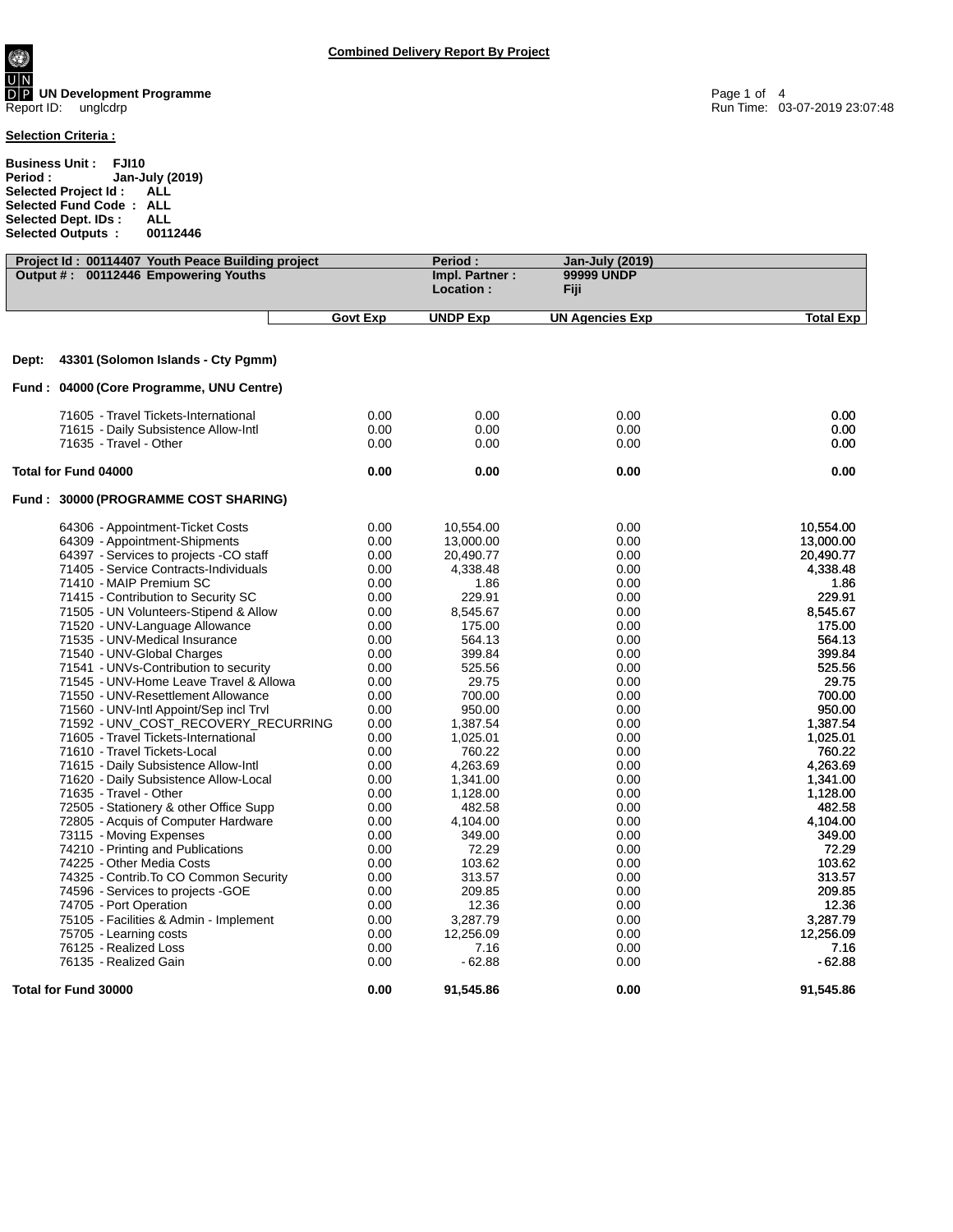**UN Development Programme** Page 1 of 4 Report ID: unglcdrp Run Time: 03-07-2019 23:07:48

## **Selection Criteria :**

**Business Unit : FJI10 Period : Jan-July (2019) Selected Project Id : ALL Selected Fund Code : ALL Selected Dept. IDs : ALL Selected Outputs : 00112446**

| Project Id: 00114407 Youth Peace Building project |                 | Period:                     | <b>Jan-July (2019)</b> |                  |
|---------------------------------------------------|-----------------|-----------------------------|------------------------|------------------|
| Output #: 00112446 Empowering Youths              |                 | Impl. Partner:<br>Location: | 99999 UNDP<br>Fiji     |                  |
|                                                   | <b>Govt Exp</b> | <b>UNDP Exp</b>             | <b>UN Agencies Exp</b> | <b>Total Exp</b> |
| 43301 (Solomon Islands - Cty Pgmm)<br>Dept:       |                 |                             |                        |                  |
|                                                   |                 |                             |                        |                  |
| Fund: 04000 (Core Programme, UNU Centre)          |                 |                             |                        |                  |
| 71605 - Travel Tickets-International              | 0.00            | 0.00                        | 0.00                   | 0.00             |
| 71615 - Daily Subsistence Allow-Intl              | 0.00            | 0.00                        | 0.00                   | 0.00             |
| 71635 - Travel - Other                            | 0.00            | 0.00                        | 0.00                   | 0.00             |
| Total for Fund 04000                              | 0.00            | 0.00                        | 0.00                   | 0.00             |
| Fund: 30000 (PROGRAMME COST SHARING)              |                 |                             |                        |                  |
| 64306 - Appointment-Ticket Costs                  | 0.00            | 10,554.00                   | 0.00                   | 10,554.00        |
| 64309 - Appointment-Shipments                     | 0.00            | 13,000.00                   | 0.00                   | 13,000.00        |
| 64397 - Services to projects -CO staff            | 0.00            | 20,490.77                   | 0.00                   | 20,490.77        |
| 71405 - Service Contracts-Individuals             | 0.00            | 4,338.48                    | 0.00                   | 4,338.48         |
| 71410 - MAIP Premium SC                           | 0.00            | 1.86                        | 0.00                   | 1.86             |
| 71415 - Contribution to Security SC               | 0.00            | 229.91                      | 0.00                   | 229.91           |
| 71505 - UN Volunteers-Stipend & Allow             | 0.00            | 8,545.67                    | 0.00                   | 8,545.67         |
| 71520 - UNV-Language Allowance                    | 0.00            | 175.00                      | 0.00                   | 175.00           |
| 71535 - UNV-Medical Insurance                     | 0.00            | 564.13                      | 0.00                   | 564.13           |
| 71540 - UNV-Global Charges                        | 0.00            | 399.84                      | 0.00                   | 399.84           |
| 71541 - UNVs-Contribution to security             | 0.00            | 525.56                      | 0.00                   | 525.56           |
| 71545 - UNV-Home Leave Travel & Allowa            | 0.00            | 29.75                       | 0.00                   | 29.75            |
| 71550 - UNV-Resettlement Allowance                | 0.00            | 700.00                      | 0.00                   | 700.00           |
| 71560 - UNV-Intl Appoint/Sep incl Trvl            | 0.00            | 950.00                      | 0.00                   | 950.00           |
| 71592 - UNV_COST_RECOVERY_RECURRING               | 0.00            | 1,387.54                    | 0.00                   | 1,387.54         |
| 71605 - Travel Tickets-International              | 0.00            | 1,025.01                    | 0.00                   | 1,025.01         |
| 71610 - Travel Tickets-Local                      | 0.00            | 760.22                      | 0.00                   | 760.22           |
| 71615 - Daily Subsistence Allow-Intl              | 0.00            | 4,263.69                    | 0.00                   | 4,263.69         |
| 71620 - Daily Subsistence Allow-Local             | 0.00            | 1,341.00                    | 0.00                   | 1,341.00         |
| 71635 - Travel - Other                            | 0.00            | 1,128.00                    | 0.00                   | 1,128.00         |
| 72505 - Stationery & other Office Supp            | 0.00            | 482.58                      | 0.00                   | 482.58           |
| 72805 - Acquis of Computer Hardware               | 0.00            | 4,104.00                    | 0.00                   | 4,104.00         |
| 73115 - Moving Expenses                           | 0.00            | 349.00                      | 0.00                   | 349.00           |
| 74210 - Printing and Publications                 | 0.00            | 72.29                       | 0.00                   | 72.29            |
| 74225 - Other Media Costs                         | 0.00            | 103.62                      | 0.00                   | 103.62           |
| 74325 - Contrib. To CO Common Security            | 0.00            | 313.57                      | 0.00                   | 313.57           |
| 74596 - Services to projects - GOE                | 0.00            | 209.85                      | 0.00                   | 209.85           |
| 74705 - Port Operation                            | 0.00            | 12.36                       | 0.00                   | 12.36            |
| 75105 - Facilities & Admin - Implement            | 0.00            | 3,287.79                    | 0.00                   | 3,287.79         |
| 75705 - Learning costs                            | 0.00            | 12,256.09                   | 0.00                   | 12,256.09        |
| 76125 - Realized Loss                             | 0.00            | 7.16                        | 0.00                   | 7.16             |
| 76135 - Realized Gain                             | 0.00            | $-62.88$                    | 0.00                   | $-62.88$         |
| Total for Fund 30000                              | 0.00            | 91,545.86                   | 0.00                   | 91.545.86        |

**Combined Delivery Report By Project**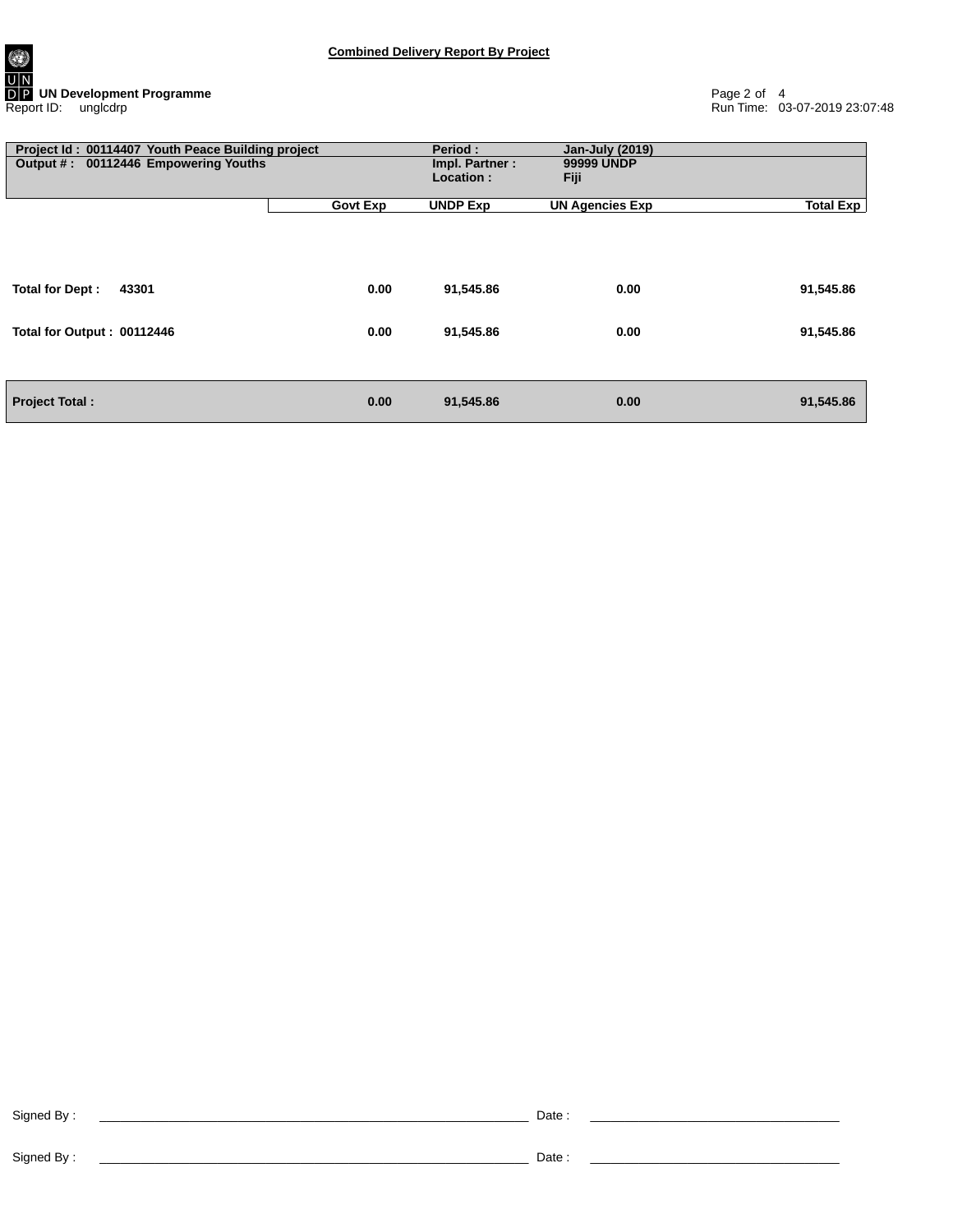0 **UN Development Programme** Page 2 of 4 Report ID: unglcdrp Run Time: 03-07-2019 23:07:48

| Project Id: 00114407 Youth Peace Building project<br>Output #: 00112446 Empowering Youths |                 | <b>Period:</b><br>Impl. Partner:<br>Location: | <b>Jan-July (2019)</b><br>99999 UNDP<br>Fiji |                  |
|-------------------------------------------------------------------------------------------|-----------------|-----------------------------------------------|----------------------------------------------|------------------|
|                                                                                           | <b>Govt Exp</b> | <b>UNDP Exp</b>                               | <b>UN Agencies Exp</b>                       | <b>Total Exp</b> |
| Total for Dept:<br>43301                                                                  | 0.00            | 91,545.86                                     | 0.00                                         | 91,545.86        |
| Total for Output: 00112446                                                                | 0.00            | 91,545.86                                     | 0.00                                         | 91,545.86        |
| <b>Project Total:</b>                                                                     | 0.00            | 91,545.86                                     | 0.00                                         | 91,545.86        |

Signed By : \_\_\_\_\_\_\_\_\_\_\_\_\_\_\_\_\_\_\_\_\_\_\_\_\_\_\_\_\_\_\_\_\_\_\_\_\_\_\_\_\_\_\_\_\_\_\_\_\_\_\_\_\_\_\_\_\_\_\_\_\_\_ Date : \_\_\_\_\_\_\_\_\_\_\_\_\_\_\_\_\_\_\_\_\_\_\_\_\_\_\_\_\_\_\_\_\_\_\_\_

Signed By : \_\_\_\_\_\_\_\_\_\_\_\_\_\_\_\_\_\_\_\_\_\_\_\_\_\_\_\_\_\_\_\_\_\_\_\_\_\_\_\_\_\_\_\_\_\_\_\_\_\_\_\_\_\_\_\_\_\_\_\_\_\_ Date : \_\_\_\_\_\_\_\_\_\_\_\_\_\_\_\_\_\_\_\_\_\_\_\_\_\_\_\_\_\_\_\_\_\_\_\_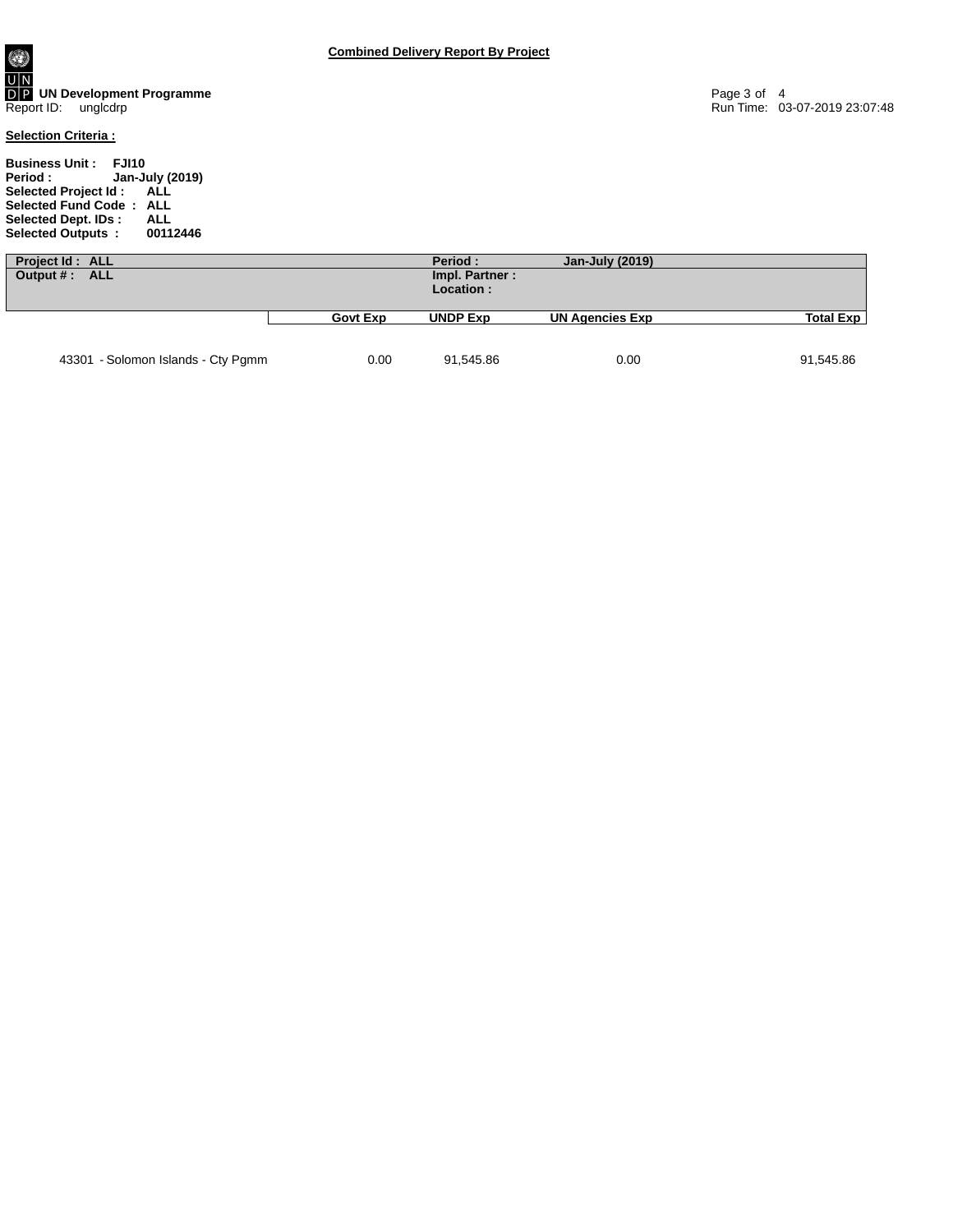**Business Unit : FJI10 Period : Jan-July (2019) Selected Project Id : ALL Selected Fund Code : ALL Selected Dept. IDs : ALL Selected Outputs : 00112446**

| Project Id: ALL<br>Output #: ALL   |                 | Period:<br>Impl. Partner:<br>Location: | Jan-July (2019)        |             |
|------------------------------------|-----------------|----------------------------------------|------------------------|-------------|
|                                    | <b>Govt Exp</b> | <b>UNDP Exp</b>                        | <b>UN Agencies Exp</b> | Total $Exp$ |
| 43301 - Solomon Islands - Cty Pgmm | 0.00            | 91,545.86                              | 0.00                   | 91,545.86   |

**Combined Delivery Report By Project**